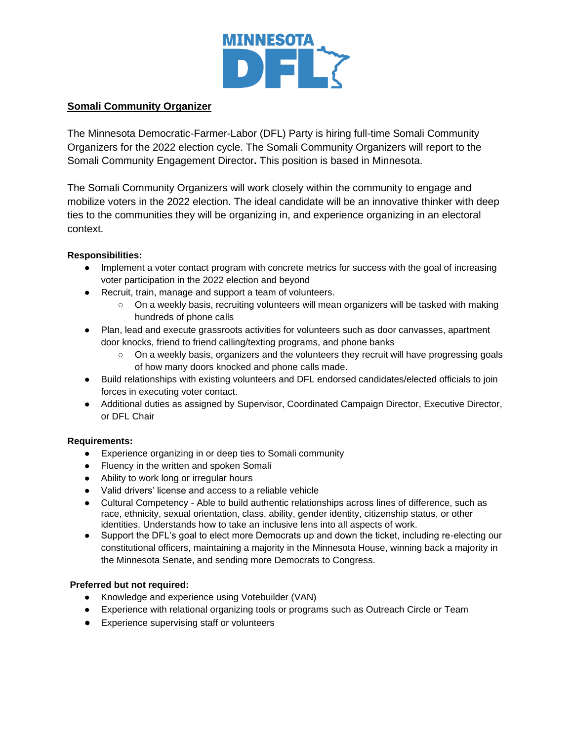

## **Somali Community Organizer**

The Minnesota Democratic-Farmer-Labor (DFL) Party is hiring full-time Somali Community Organizers for the 2022 election cycle. The Somali Community Organizers will report to the Somali Community Engagement Director**.** This position is based in Minnesota.

The Somali Community Organizers will work closely within the community to engage and mobilize voters in the 2022 election. The ideal candidate will be an innovative thinker with deep ties to the communities they will be organizing in, and experience organizing in an electoral context.

#### **Responsibilities:**

- Implement a voter contact program with concrete metrics for success with the goal of increasing voter participation in the 2022 election and beyond
- Recruit, train, manage and support a team of volunteers.
	- On a weekly basis, recruiting volunteers will mean organizers will be tasked with making hundreds of phone calls
- Plan, lead and execute grassroots activities for volunteers such as door canvasses, apartment door knocks, friend to friend calling/texting programs, and phone banks
	- On a weekly basis, organizers and the volunteers they recruit will have progressing goals of how many doors knocked and phone calls made.
- Build relationships with existing volunteers and DFL endorsed candidates/elected officials to join forces in executing voter contact.
- Additional duties as assigned by Supervisor, Coordinated Campaign Director, Executive Director, or DFL Chair

#### **Requirements:**

- Experience organizing in or deep ties to Somali community
- Fluency in the written and spoken Somali
- Ability to work long or irregular hours
- Valid drivers' license and access to a reliable vehicle
- Cultural Competency Able to build authentic relationships across lines of difference, such as race, ethnicity, sexual orientation, class, ability, gender identity, citizenship status, or other identities. Understands how to take an inclusive lens into all aspects of work.
- Support the DFL's goal to elect more Democrats up and down the ticket, including re-electing our constitutional officers, maintaining a majority in the Minnesota House, winning back a majority in the Minnesota Senate, and sending more Democrats to Congress.

#### **Preferred but not required:**

- Knowledge and experience using Votebuilder (VAN)
- Experience with relational organizing tools or programs such as Outreach Circle or Team
- Experience supervising staff or volunteers